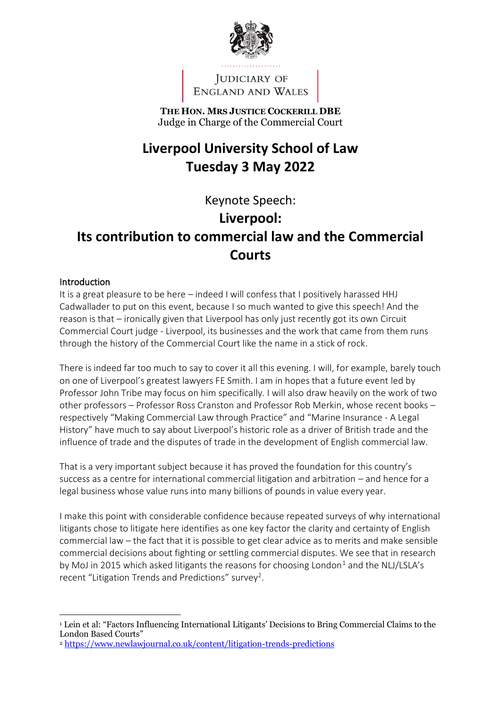

JUDICIARY OF ENGLAND AND WALES

**THE HON. MRS JUSTICE COCKERILL DBE** Judge in Charge of the Commercial Court

# **Liverpool University School of Law Tuesday 3 May 2022**

## Keynote Speech:

## **Liverpool:**

# **Its contribution to commercial law and the Commercial Courts**

### Introduction

It is a great pleasure to be here – indeed I will confess that I positively harassed HHJ Cadwallader to put on this event, because I so much wanted to give this speech! And the reason is that – ironically given that Liverpool has only just recently got its own Circuit Commercial Court judge - Liverpool, its businesses and the work that came from them runs through the history of the Commercial Court like the name in a stick of rock.

There is indeed far too much to say to cover it all this evening. I will, for example, barely touch on one of Liverpool's greatest lawyers FE Smith. I am in hopes that a future event led by Professor John Tribe may focus on him specifically. I will also draw heavily on the work of two other professors – Professor Ross Cranston and Professor Rob Merkin, whose recent books – respectively "Making Commercial Law through Practice" and "Marine Insurance - A Legal History" have much to say about Liverpool's historic role as a driver of British trade and the influence of trade and the disputes of trade in the development of English commercial law.

That is a very important subject because it has proved the foundation for this country's success as a centre for international commercial litigation and arbitration – and hence for a legal business whose value runs into many billions of pounds in value every year.

I make this point with considerable confidence because repeated surveys of why international litigants chose to litigate here identifies as one key factor the clarity and certainty of English commercial law – the fact that it is possible to get clear advice as to merits and make sensible commercial decisions about fighting or settling commercial disputes. We see that in research by MoJ in 2015 which asked litigants the reasons for choosing London<sup>1</sup> and the NLJ/LSLA's recent "Litigation Trends and Predictions" survey<sup>2</sup>.

<sup>1</sup> Lein et al: "Factors Influencing International Litigants' Decisions to Bring Commercial Claims to the London Based Courts"

<sup>2</sup> <https://www.newlawjournal.co.uk/content/litigation-trends-predictions>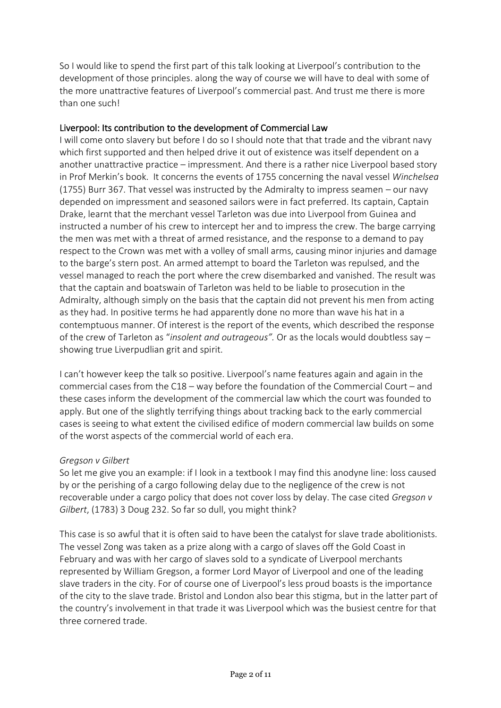So I would like to spend the first part of this talk looking at Liverpool's contribution to the development of those principles. along the way of course we will have to deal with some of the more unattractive features of Liverpool's commercial past. And trust me there is more than one such!

#### Liverpool: Its contribution to the development of Commercial Law

I will come onto slavery but before I do so I should note that that trade and the vibrant navy which first supported and then helped drive it out of existence was itself dependent on a another unattractive practice – impressment. And there is a rather nice Liverpool based story in Prof Merkin's book. It concerns the events of 1755 concerning the naval vessel *Winchelsea* (1755) Burr 367. That vessel was instructed by the Admiralty to impress seamen – our navy depended on impressment and seasoned sailors were in fact preferred. Its captain, Captain Drake, learnt that the merchant vessel Tarleton was due into Liverpool from Guinea and instructed a number of his crew to intercept her and to impress the crew. The barge carrying the men was met with a threat of armed resistance, and the response to a demand to pay respect to the Crown was met with a volley of small arms, causing minor injuries and damage to the barge's stern post. An armed attempt to board the Tarleton was repulsed, and the vessel managed to reach the port where the crew disembarked and vanished. The result was that the captain and boatswain of Tarleton was held to be liable to prosecution in the Admiralty, although simply on the basis that the captain did not prevent his men from acting as they had. In positive terms he had apparently done no more than wave his hat in a contemptuous manner. Of interest is the report of the events, which described the response of the crew of Tarleton as "*insolent and outrageous".* Or as the locals would doubtless say – showing true Liverpudlian grit and spirit.

I can't however keep the talk so positive. Liverpool's name features again and again in the commercial cases from the C18 – way before the foundation of the Commercial Court – and these cases inform the development of the commercial law which the court was founded to apply. But one of the slightly terrifying things about tracking back to the early commercial cases is seeing to what extent the civilised edifice of modern commercial law builds on some of the worst aspects of the commercial world of each era.

#### *Gregson v Gilbert*

So let me give you an example: if I look in a textbook I may find this anodyne line: loss caused by or the perishing of a cargo following delay due to the negligence of the crew is not recoverable under a cargo policy that does not cover loss by delay. The case cited *Gregson v Gilbert*, (1783) 3 Doug 232. So far so dull, you might think?

This case is so awful that it is often said to have been the catalyst for slave trade abolitionists. The vessel Zong was taken as a prize along with a cargo of slaves off the Gold Coast in February and was with her cargo of slaves sold to a syndicate of Liverpool merchants represented by William Gregson, a former Lord Mayor of Liverpool and one of the leading slave traders in the city. For of course one of Liverpool's less proud boasts is the importance of the city to the slave trade. Bristol and London also bear this stigma, but in the latter part of the country's involvement in that trade it was Liverpool which was the busiest centre for that three cornered trade.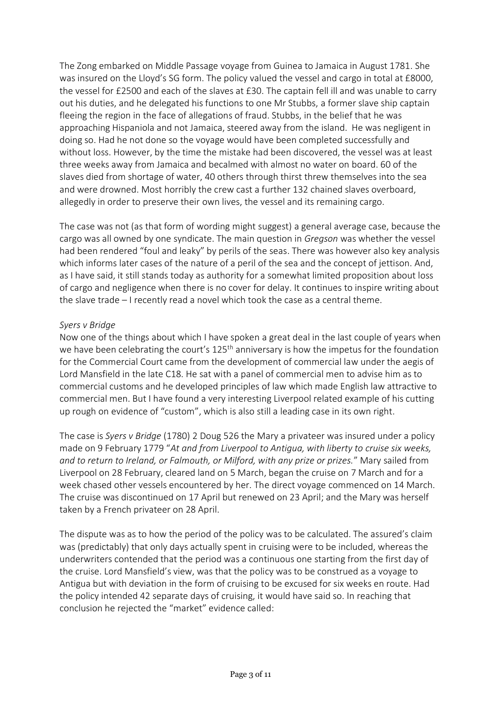The Zong embarked on Middle Passage voyage from Guinea to Jamaica in August 1781. She was insured on the Lloyd's SG form. The policy valued the vessel and cargo in total at £8000, the vessel for £2500 and each of the slaves at £30. The captain fell ill and was unable to carry out his duties, and he delegated his functions to one Mr Stubbs, a former slave ship captain fleeing the region in the face of allegations of fraud. Stubbs, in the belief that he was approaching Hispaniola and not Jamaica, steered away from the island. He was negligent in doing so. Had he not done so the voyage would have been completed successfully and without loss. However, by the time the mistake had been discovered, the vessel was at least three weeks away from Jamaica and becalmed with almost no water on board. 60 of the slaves died from shortage of water, 40 others through thirst threw themselves into the sea and were drowned. Most horribly the crew cast a further 132 chained slaves overboard, allegedly in order to preserve their own lives, the vessel and its remaining cargo.

The case was not (as that form of wording might suggest) a general average case, because the cargo was all owned by one syndicate. The main question in *Gregson* was whether the vessel had been rendered "foul and leaky" by perils of the seas. There was however also key analysis which informs later cases of the nature of a peril of the sea and the concept of jettison. And, as I have said, it still stands today as authority for a somewhat limited proposition about loss of cargo and negligence when there is no cover for delay. It continues to inspire writing about the slave trade – I recently read a novel which took the case as a central theme.

#### *Syers v Bridge*

Now one of the things about which I have spoken a great deal in the last couple of years when we have been celebrating the court's 125<sup>th</sup> anniversary is how the impetus for the foundation for the Commercial Court came from the development of commercial law under the aegis of Lord Mansfield in the late C18. He sat with a panel of commercial men to advise him as to commercial customs and he developed principles of law which made English law attractive to commercial men. But I have found a very interesting Liverpool related example of his cutting up rough on evidence of "custom", which is also still a leading case in its own right.

The case is *Syers v Bridge* (1780) 2 Doug 526 the Mary a privateer was insured under a policy made on 9 February 1779 "*At and from Liverpool to Antigua, with liberty to cruise six weeks, and to return to Ireland, or Falmouth, or Milford, with any prize or prizes.*" Mary sailed from Liverpool on 28 February, cleared land on 5 March, began the cruise on 7 March and for a week chased other vessels encountered by her. The direct voyage commenced on 14 March. The cruise was discontinued on 17 April but renewed on 23 April; and the Mary was herself taken by a French privateer on 28 April.

The dispute was as to how the period of the policy was to be calculated. The assured's claim was (predictably) that only days actually spent in cruising were to be included, whereas the underwriters contended that the period was a continuous one starting from the first day of the cruise. Lord Mansfield's view, was that the policy was to be construed as a voyage to Antigua but with deviation in the form of cruising to be excused for six weeks en route. Had the policy intended 42 separate days of cruising, it would have said so. In reaching that conclusion he rejected the "market" evidence called: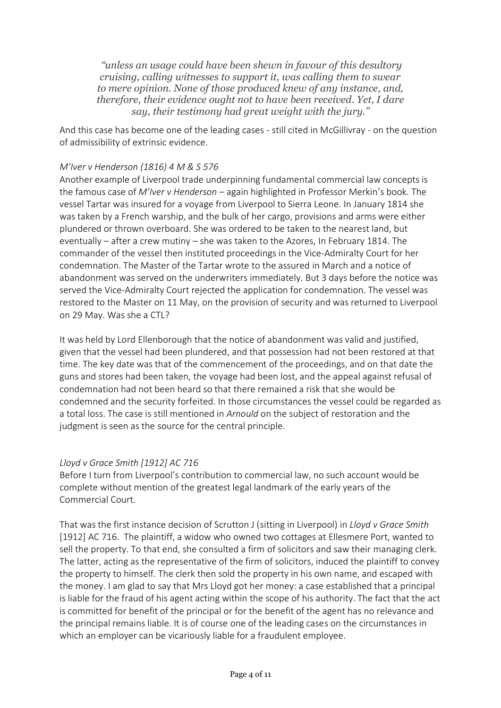*"unless an usage could have been shewn in favour of this desultory cruising, calling witnesses to support it, was calling them to swear to mere opinion. None of those produced knew of any instance, and, therefore, their evidence ought not to have been received. Yet, I dare say, their testimony had great weight with the jury."*

And this case has become one of the leading cases - still cited in McGillivray - on the question of admissibility of extrinsic evidence.

#### *M'Iver v Henderson (1816) 4 M & S 576*

Another example of Liverpool trade underpinning fundamental commercial law concepts is the famous case of *M'Iver v Henderson –* again highlighted in Professor Merkin's book*.* The vessel Tartar was insured for a voyage from Liverpool to Sierra Leone. In January 1814 she was taken by a French warship, and the bulk of her cargo, provisions and arms were either plundered or thrown overboard. She was ordered to be taken to the nearest land, but eventually – after a crew mutiny – she was taken to the Azores, In February 1814. The commander of the vessel then instituted proceedings in the Vice-Admiralty Court for her condemnation. The Master of the Tartar wrote to the assured in March and a notice of abandonment was served on the underwriters immediately. But 3 days before the notice was served the Vice-Admiralty Court rejected the application for condemnation. The vessel was restored to the Master on 11 May, on the provision of security and was returned to Liverpool on 29 May. Was she a CTL?

It was held by Lord Ellenborough that the notice of abandonment was valid and justified, given that the vessel had been plundered, and that possession had not been restored at that time. The key date was that of the commencement of the proceedings, and on that date the guns and stores had been taken, the voyage had been lost, and the appeal against refusal of condemnation had not been heard so that there remained a risk that she would be condemned and the security forfeited. In those circumstances the vessel could be regarded as a total loss. The case is still mentioned in *Arnould* on the subject of restoration and the judgment is seen as the source for the central principle.

#### *Lloyd v Grace Smith [1912] AC 716*

Before I turn from Liverpool's contribution to commercial law, no such account would be complete without mention of the greatest legal landmark of the early years of the Commercial Court.

That was the first instance decision of Scrutton J (sitting in Liverpool) in *Lloyd v Grace Smith* [1912] AC 716. The plaintiff, a widow who owned two cottages at Ellesmere Port, wanted to sell the property. To that end, she consulted a firm of solicitors and saw their managing clerk. The latter, acting as the representative of the firm of solicitors, induced the plaintiff to convey the property to himself. The clerk then sold the property in his own name, and escaped with the money. I am glad to say that Mrs Lloyd got her money: a case established that a principal is liable for the fraud of his agent acting within the scope of his authority. The fact that the act is committed for benefit of the principal or for the benefit of the agent has no relevance and the principal remains liable. It is of course one of the leading cases on the circumstances in which an employer can be vicariously liable for a fraudulent employee.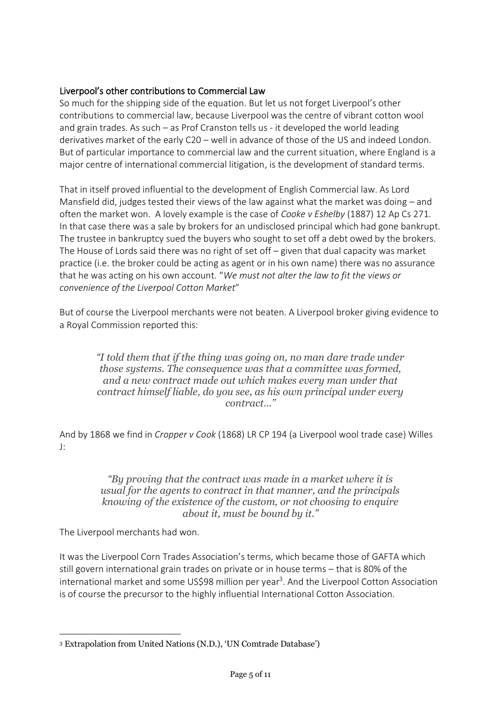#### Liverpool's other contributions to Commercial Law

So much for the shipping side of the equation. But let us not forget Liverpool's other contributions to commercial law, because Liverpool was the centre of vibrant cotton wool and grain trades. As such – as Prof Cranston tells us - it developed the world leading derivatives market of the early C20 – well in advance of those of the US and indeed London. But of particular importance to commercial law and the current situation, where England is a major centre of international commercial litigation, is the development of standard terms.

That in itself proved influential to the development of English Commercial law. As Lord Mansfield did, judges tested their views of the law against what the market was doing – and often the market won. A lovely example is the case of *Cooke v Eshelby* (1887) 12 Ap Cs 271. In that case there was a sale by brokers for an undisclosed principal which had gone bankrupt. The trustee in bankruptcy sued the buyers who sought to set off a debt owed by the brokers. The House of Lords said there was no right of set off – given that dual capacity was market practice (i.e. the broker could be acting as agent or in his own name) there was no assurance that he was acting on his own account. "*We must not alter the law to fit the views or convenience of the Liverpool Cotton Market*"

But of course the Liverpool merchants were not beaten. A Liverpool broker giving evidence to a Royal Commission reported this:

*"I told them that if the thing was going on, no man dare trade under those systems. The consequence was that a committee was formed, and a new contract made out which makes every man under that contract himself liable, do you see, as his own principal under every contract…"*

And by 1868 we find in *Cropper v Cook* (1868) LR CP 194 (a Liverpool wool trade case) Willes J:

> *"By proving that the contract was made in a market where it is usual for the agents to contract in that manner, and the principals knowing of the existence of the custom, or not choosing to enquire about it, must be bound by it."*

The Liverpool merchants had won.

It was the Liverpool Corn Trades Association's terms, which became those of GAFTA which still govern international grain trades on private or in house terms – that is 80% of the international market and some US\$98 million per year<sup>3</sup>. And the Liverpool Cotton Association is of course the precursor to the highly influential International Cotton Association.

<sup>3</sup> Extrapolation from United Nations (N.D.), 'UN Comtrade Database')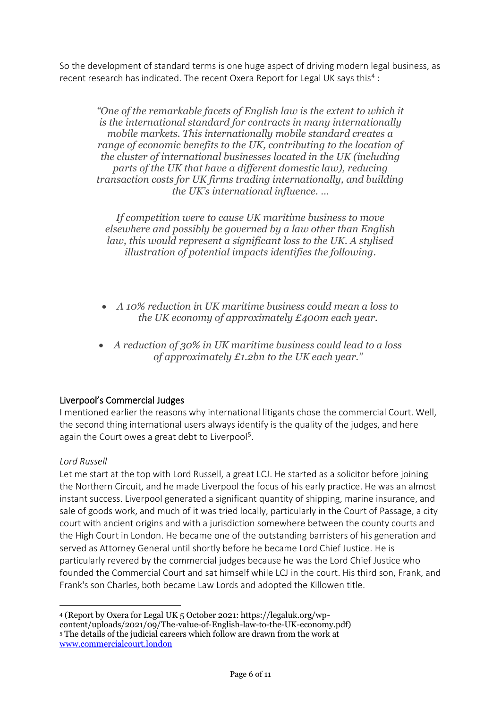So the development of standard terms is one huge aspect of driving modern legal business, as recent research has indicated. The recent Oxera Report for Legal UK says this<sup>4</sup>:

*"One of the remarkable facets of English law is the extent to which it is the international standard for contracts in many internationally mobile markets. This internationally mobile standard creates a range of economic benefits to the UK, contributing to the location of the cluster of international businesses located in the UK (including parts of the UK that have a different domestic law), reducing transaction costs for UK firms trading internationally, and building the UK's international influence. …*

*If competition were to cause UK maritime business to move elsewhere and possibly be governed by a law other than English law, this would represent a significant loss to the UK. A stylised illustration of potential impacts identifies the following.*

- *A 10% reduction in UK maritime business could mean a loss to the UK economy of approximately £400m each year.*
- *A reduction of 30% in UK maritime business could lead to a loss of approximately £1.2bn to the UK each year."*

#### Liverpool's Commercial Judges

I mentioned earlier the reasons why international litigants chose the commercial Court. Well, the second thing international users always identify is the quality of the judges, and here again the Court owes a great debt to Liverpool<sup>5</sup>.

#### *Lord Russell*

Let me start at the top with Lord Russell, a great LCJ. He started as a solicitor before joining the Northern Circuit, and he made Liverpool the focus of his early practice. He was an almost instant success. Liverpool generated a significant quantity of shipping, marine insurance, and sale of goods work, and much of it was tried locally, particularly in the Court of Passage, a city court with ancient origins and with a jurisdiction somewhere between the county courts and the High Court in London. He became one of the outstanding barristers of his generation and served as Attorney General until shortly before he became Lord Chief Justice. He is particularly revered by the commercial judges because he was the Lord Chief Justice who founded the Commercial Court and sat himself while LCJ in the court. His third son, Frank, and Frank's son Charles, both became Law Lords and adopted the Killowen title.

<sup>4</sup> (Report by Oxera for Legal UK 5 October 2021: https://legaluk.org/wpcontent/uploads/2021/09/The-value-of-English-law-to-the-UK-economy.pdf) <sup>5</sup> The details of the judicial careers which follow are drawn from the work at [www.commercialcourt.london](http://www.commercialcourt.london/)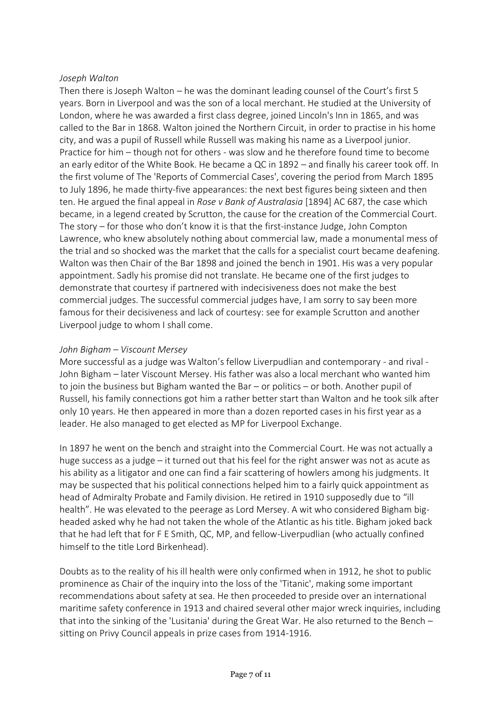#### *Joseph Walton*

Then there is Joseph Walton – he was the dominant leading counsel of the Court's first 5 years. Born in Liverpool and was the son of a local merchant. He studied at the University of London, where he was awarded a first class degree, joined Lincoln's Inn in 1865, and was called to the Bar in 1868. Walton joined the Northern Circuit, in order to practise in his home city, and was a pupil of Russell while Russell was making his name as a Liverpool junior. Practice for him – though not for others - was slow and he therefore found time to become an early editor of the White Book. He became a QC in 1892 – and finally his career took off. In the first volume of The 'Reports of Commercial Cases', covering the period from March 1895 to July 1896, he made thirty-five appearances: the next best figures being sixteen and then ten. He argued the final appeal in *Rose v Bank of Australasia* [1894] AC 687, the case which became, in a legend created by Scrutton, the cause for the creation of the Commercial Court. The story – for those who don't know it is that the first-instance Judge, John Compton Lawrence, who knew absolutely nothing about commercial law, made a monumental mess of the trial and so shocked was the market that the calls for a specialist court became deafening. Walton was then Chair of the Bar 1898 and joined the bench in 1901. His was a very popular appointment. Sadly his promise did not translate. He became one of the first judges to demonstrate that courtesy if partnered with indecisiveness does not make the best commercial judges. The successful commercial judges have, I am sorry to say been more famous for their decisiveness and lack of courtesy: see for example Scrutton and another Liverpool judge to whom I shall come.

#### *John Bigham – Viscount Mersey*

More successful as a judge was Walton's fellow Liverpudlian and contemporary - and rival - John Bigham – later Viscount Mersey. His father was also a local merchant who wanted him to join the business but Bigham wanted the Bar – or politics – or both. Another pupil of Russell, his family connections got him a rather better start than Walton and he took silk after only 10 years. He then appeared in more than a dozen reported cases in his first year as a leader. He also managed to get elected as MP for Liverpool Exchange.

In 1897 he went on the bench and straight into the Commercial Court. He was not actually a huge success as a judge – it turned out that his feel for the right answer was not as acute as his ability as a litigator and one can find a fair scattering of howlers among his judgments. It may be suspected that his political connections helped him to a fairly quick appointment as head of Admiralty Probate and Family division. He retired in 1910 supposedly due to "ill health". He was elevated to the peerage as Lord Mersey. A wit who considered Bigham bigheaded asked why he had not taken the whole of the Atlantic as his title. Bigham joked back that he had left that for F E Smith, QC, MP, and fellow-Liverpudlian (who actually confined himself to the title Lord Birkenhead).

Doubts as to the reality of his ill health were only confirmed when in 1912, he shot to public prominence as Chair of the inquiry into the loss of the 'Titanic', making some important recommendations about safety at sea. He then proceeded to preside over an international maritime safety conference in 1913 and chaired several other major wreck inquiries, including that into the sinking of the 'Lusitania' during the Great War. He also returned to the Bench – sitting on Privy Council appeals in prize cases from 1914-1916.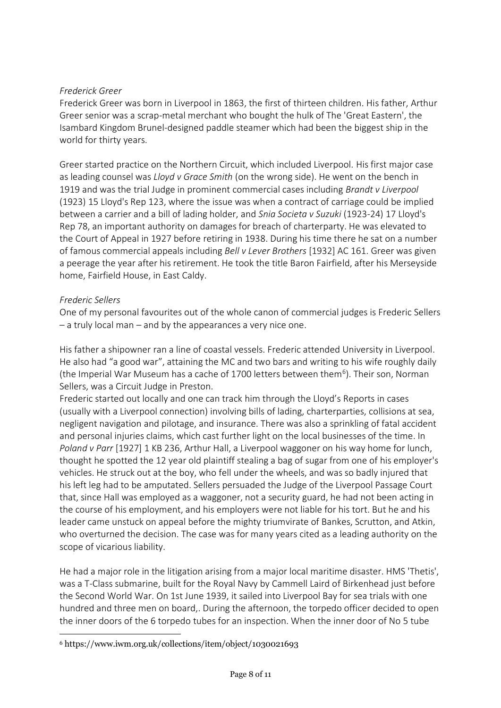#### *Frederick Greer*

Frederick Greer was born in Liverpool in 1863, the first of thirteen children. His father, Arthur Greer senior was a scrap-metal merchant who bought the hulk of The 'Great Eastern', the Isambard Kingdom Brunel-designed paddle steamer which had been the biggest ship in the world for thirty years.

Greer started practice on the Northern Circuit, which included Liverpool. His first major case as leading counsel was *Lloyd v Grace Smith* (on the wrong side). He went on the bench in 1919 and was the trial Judge in prominent commercial cases including *Brandt v Liverpool* (1923) 15 Lloyd's Rep 123, where the issue was when a contract of carriage could be implied between a carrier and a bill of lading holder, and *Snia Societa v Suzuki* (1923-24) 17 Lloyd's Rep 78, an important authority on damages for breach of charterparty. He was elevated to the Court of Appeal in 1927 before retiring in 1938. During his time there he sat on a number of famous commercial appeals including *Bell v Lever Brothers* [1932] AC 161. Greer was given a peerage the year after his retirement. He took the title Baron Fairfield, after his Merseyside home, Fairfield House, in East Caldy.

#### *Frederic Sellers*

One of my personal favourites out of the whole canon of commercial judges is Frederic Sellers – a truly local man – and by the appearances a very nice one.

His father a shipowner ran a line of coastal vessels. Frederic attended University in Liverpool. He also had "a good war", attaining the MC and two bars and writing to his wife roughly daily (the Imperial War Museum has a cache of 1700 letters between them<sup>6</sup>). Their son, Norman Sellers, was a Circuit Judge in Preston.

Frederic started out locally and one can track him through the Lloyd's Reports in cases (usually with a Liverpool connection) involving bills of lading, charterparties, collisions at sea, negligent navigation and pilotage, and insurance. There was also a sprinkling of fatal accident and personal injuries claims, which cast further light on the local businesses of the time. In *Poland v Parr* [1927] 1 KB 236, Arthur Hall, a Liverpool waggoner on his way home for lunch, thought he spotted the 12 year old plaintiff stealing a bag of sugar from one of his employer's vehicles. He struck out at the boy, who fell under the wheels, and was so badly injured that his left leg had to be amputated. Sellers persuaded the Judge of the Liverpool Passage Court that, since Hall was employed as a waggoner, not a security guard, he had not been acting in the course of his employment, and his employers were not liable for his tort. But he and his leader came unstuck on appeal before the mighty triumvirate of Bankes, Scrutton, and Atkin, who overturned the decision. The case was for many years cited as a leading authority on the scope of vicarious liability.

He had a major role in the litigation arising from a major local maritime disaster. HMS 'Thetis', was a T-Class submarine, built for the Royal Navy by Cammell Laird of Birkenhead just before the Second World War. On 1st June 1939, it sailed into Liverpool Bay for sea trials with one hundred and three men on board,. During the afternoon, the torpedo officer decided to open the inner doors of the 6 torpedo tubes for an inspection. When the inner door of No 5 tube

<sup>6</sup> https://www.iwm.org.uk/collections/item/object/1030021693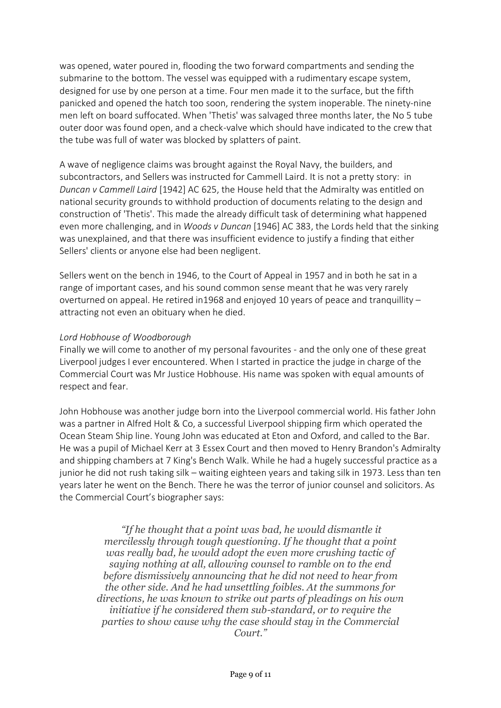was opened, water poured in, flooding the two forward compartments and sending the submarine to the bottom. The vessel was equipped with a rudimentary escape system, designed for use by one person at a time. Four men made it to the surface, but the fifth panicked and opened the hatch too soon, rendering the system inoperable. The ninety-nine men left on board suffocated. When 'Thetis' was salvaged three months later, the No 5 tube outer door was found open, and a check-valve which should have indicated to the crew that the tube was full of water was blocked by splatters of paint.

A wave of negligence claims was brought against the Royal Navy, the builders, and subcontractors, and Sellers was instructed for Cammell Laird. It is not a pretty story: in *Duncan v Cammell Laird* [1942] AC 625, the House held that the Admiralty was entitled on national security grounds to withhold production of documents relating to the design and construction of 'Thetis'. This made the already difficult task of determining what happened even more challenging, and in *Woods v Duncan* [1946] AC 383, the Lords held that the sinking was unexplained, and that there was insufficient evidence to justify a finding that either Sellers' clients or anyone else had been negligent.

Sellers went on the bench in 1946, to the Court of Appeal in 1957 and in both he sat in a range of important cases, and his sound common sense meant that he was very rarely overturned on appeal. He retired in1968 and enjoyed 10 years of peace and tranquillity – attracting not even an obituary when he died.

#### *Lord Hobhouse of Woodborough*

Finally we will come to another of my personal favourites - and the only one of these great Liverpool judges I ever encountered. When I started in practice the judge in charge of the Commercial Court was Mr Justice Hobhouse. His name was spoken with equal amounts of respect and fear.

John Hobhouse was another judge born into the Liverpool commercial world. His father John was a partner in Alfred Holt & Co, a successful Liverpool shipping firm which operated the Ocean Steam Ship line. Young John was educated at Eton and Oxford, and called to the Bar. He was a pupil of Michael Kerr at 3 Essex Court and then moved to Henry Brandon's Admiralty and shipping chambers at 7 King's Bench Walk. While he had a hugely successful practice as a junior he did not rush taking silk – waiting eighteen years and taking silk in 1973. Less than ten years later he went on the Bench. There he was the terror of junior counsel and solicitors. As the Commercial Court's biographer says:

*"If he thought that a point was bad, he would dismantle it mercilessly through tough questioning. If he thought that a point was really bad, he would adopt the even more crushing tactic of saying nothing at all, allowing counsel to ramble on to the end before dismissively announcing that he did not need to hear from the other side. And he had unsettling foibles. At the summons for directions, he was known to strike out parts of pleadings on his own initiative if he considered them sub-standard, or to require the parties to show cause why the case should stay in the Commercial Court."*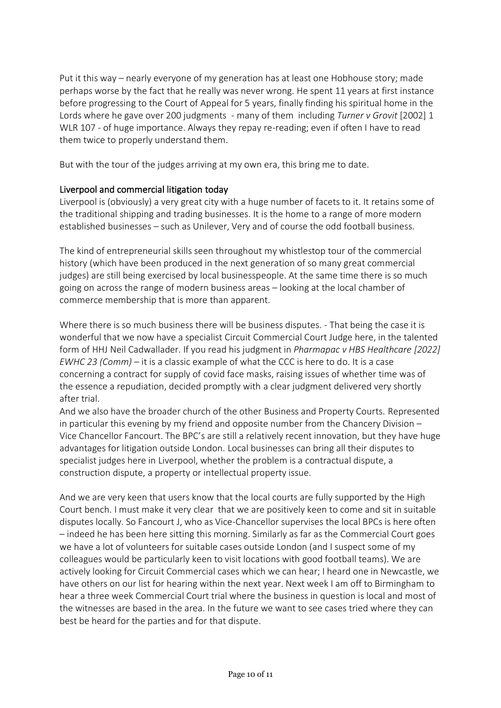Put it this way – nearly everyone of my generation has at least one Hobhouse story; made perhaps worse by the fact that he really was never wrong. He spent 11 years at first instance before progressing to the Court of Appeal for 5 years, finally finding his spiritual home in the Lords where he gave over 200 judgments - many of them including *Turner v Grovit* [2002] 1 WLR 107 - of huge importance. Always they repay re-reading; even if often I have to read them twice to properly understand them.

But with the tour of the judges arriving at my own era, this bring me to date.

### Liverpool and commercial litigation today

Liverpool is (obviously) a very great city with a huge number of facets to it. It retains some of the traditional shipping and trading businesses. It is the home to a range of more modern established businesses – such as Unilever, Very and of course the odd football business.

The kind of entrepreneurial skills seen throughout my whistlestop tour of the commercial history (which have been produced in the next generation of so many great commercial judges) are still being exercised by local businesspeople. At the same time there is so much going on across the range of modern business areas – looking at the local chamber of commerce membership that is more than apparent.

Where there is so much business there will be business disputes. - That being the case it is wonderful that we now have a specialist Circuit Commercial Court Judge here, in the talented form of HHJ Neil Cadwallader. If you read his judgment in *Pharmapac v HBS Healthcare [2022] EWHC 23 (Comm)* – it is a classic example of what the CCC is here to do. It is a case concerning a contract for supply of covid face masks, raising issues of whether time was of the essence a repudiation, decided promptly with a clear judgment delivered very shortly after trial.

And we also have the broader church of the other Business and Property Courts. Represented in particular this evening by my friend and opposite number from the Chancery Division – Vice Chancellor Fancourt. The BPC's are still a relatively recent innovation, but they have huge advantages for litigation outside London. Local businesses can bring all their disputes to specialist judges here in Liverpool, whether the problem is a contractual dispute, a construction dispute, a property or intellectual property issue.

And we are very keen that users know that the local courts are fully supported by the High Court bench. I must make it very clear that we are positively keen to come and sit in suitable disputes locally. So Fancourt J, who as Vice-Chancellor supervises the local BPCs is here often – indeed he has been here sitting this morning. Similarly as far as the Commercial Court goes we have a lot of volunteers for suitable cases outside London (and I suspect some of my colleagues would be particularly keen to visit locations with good football teams). We are actively looking for Circuit Commercial cases which we can hear; I heard one in Newcastle, we have others on our list for hearing within the next year. Next week I am off to Birmingham to hear a three week Commercial Court trial where the business in question is local and most of the witnesses are based in the area. In the future we want to see cases tried where they can best be heard for the parties and for that dispute.